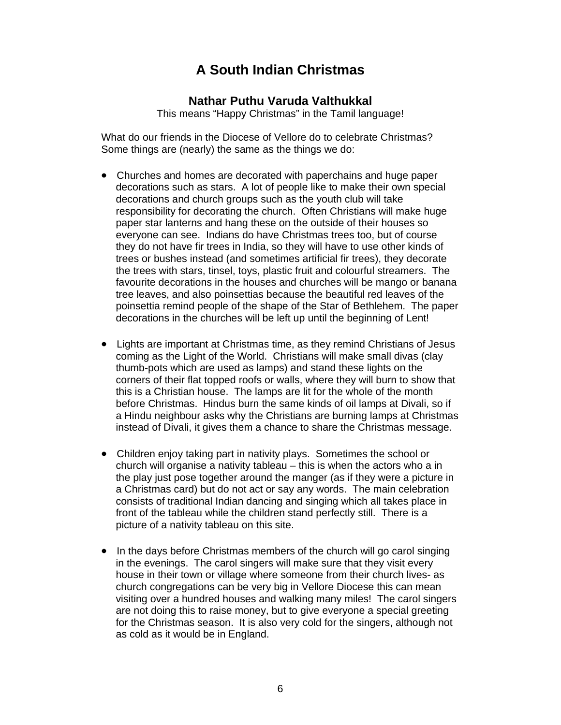## **A South Indian Christmas**

## **Nathar Puthu Varuda Valthukkal**

This means "Happy Christmas" in the Tamil language!

What do our friends in the Diocese of Vellore do to celebrate Christmas? Some things are (nearly) the same as the things we do:

- Churches and homes are decorated with paperchains and huge paper decorations such as stars. A lot of people like to make their own special decorations and church groups such as the youth club will take responsibility for decorating the church. Often Christians will make huge paper star lanterns and hang these on the outside of their houses so everyone can see. Indians do have Christmas trees too, but of course they do not have fir trees in India, so they will have to use other kinds of trees or bushes instead (and sometimes artificial fir trees), they decorate the trees with stars, tinsel, toys, plastic fruit and colourful streamers. The favourite decorations in the houses and churches will be mango or banana tree leaves, and also poinsettias because the beautiful red leaves of the poinsettia remind people of the shape of the Star of Bethlehem. The paper decorations in the churches will be left up until the beginning of Lent!
- Lights are important at Christmas time, as they remind Christians of Jesus coming as the Light of the World. Christians will make small divas (clay thumb-pots which are used as lamps) and stand these lights on the corners of their flat topped roofs or walls, where they will burn to show that this is a Christian house. The lamps are lit for the whole of the month before Christmas. Hindus burn the same kinds of oil lamps at Divali, so if a Hindu neighbour asks why the Christians are burning lamps at Christmas instead of Divali, it gives them a chance to share the Christmas message.
- Children enjoy taking part in nativity plays. Sometimes the school or church will organise a nativity tableau – this is when the actors who a in the play just pose together around the manger (as if they were a picture in a Christmas card) but do not act or say any words. The main celebration consists of traditional Indian dancing and singing which all takes place in front of the tableau while the children stand perfectly still. There is a picture of a nativity tableau on this site.
- In the days before Christmas members of the church will go carol singing in the evenings. The carol singers will make sure that they visit every house in their town or village where someone from their church lives- as church congregations can be very big in Vellore Diocese this can mean visiting over a hundred houses and walking many miles! The carol singers are not doing this to raise money, but to give everyone a special greeting for the Christmas season. It is also very cold for the singers, although not as cold as it would be in England.